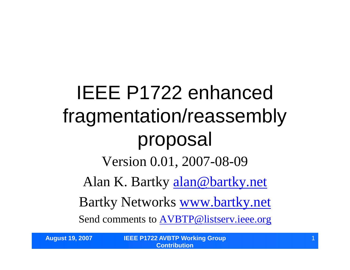IEEE P1722 enhanced fragmentation/reassembly proposal Version 0.01, 2007-08-09 Alan K. Bartky alan@bartky.net Bartky Networks www.bartky.net Send comments to AVBTP@listserv.ieee.org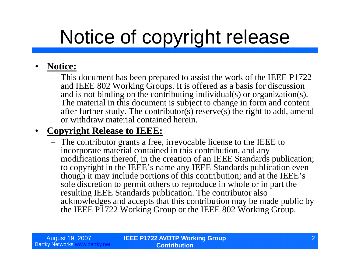# Notice of copyright release

#### • **Notice:**

– This document has been prepared to assist the work of the IEEE P1722 and IEEE 802 Working Groups. It is offered as a basis for discussion and is not binding on the contributing individual(s) or organization(s). The material in this document is subject to change in form and content after further study. The contributor(s) reserve(s) the right to add, amend or withdraw material contained herein.

#### • **Copyright Release to IEEE:**

– The contributor grants a free, irrevocable license to the IEEE to incorporate material contained in this contribution, and any modifications thereof, in the creation of an IEEE Standards publication; to copyright in the IEEE's name any IEEE Standards publication even though it may include portions of this contribution; and at the IEEE's sole discretion to permit others to reproduce in whole or in part the resulting IEEE Standards publication. The contributor also acknowledges and accepts that this contribution may be made public by the IEEE P1722 Working Group or the IEEE 802 Working Group.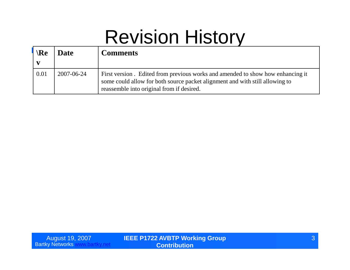# Revision History

| $\Re$<br>$\mathbf{v}$ | <b>Date</b> | <b>Comments</b>                                                                                                                                                                                             |
|-----------------------|-------------|-------------------------------------------------------------------------------------------------------------------------------------------------------------------------------------------------------------|
| 0.01                  | 2007-06-24  | First version. Edited from previous works and amended to show how enhancing it<br>some could allow for both source packet alignment and with still allowing to<br>reassemble into original from if desired. |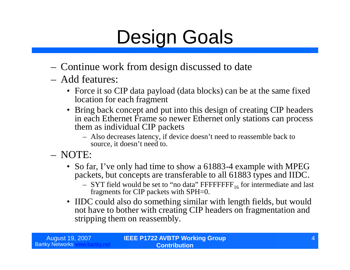# Design Goals

- Continue work from design discussed to date
- Add features:
	- Force it so CIP data payload (data blocks) can be at the same fixed location for each fragment
	- Bring back concept and put into this design of creating CIP headers in each Ethernet Frame so newer Ethernet only stations can process them as individual CIP packets
		- Also decreases latency, if device doesn't need to reassemble back to source, it doesn't need to.
- NOTE:
	- So far, I've only had time to show a 61883-4 example with MPEG packets, but concepts are transferable to all 61883 types and IIDC.
		- $-$  SYT field would be set to "no data" FFFFFFFF<sub>16</sub> for intermediate and last fragments for CIP packets with SPH=0.
	- IIDC could also do something similar with length fields, but would not have to bother with creating CIP headers on fragmentation and stripping them on reassembly.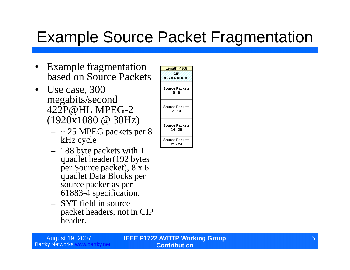## Example Source Packet Fragmentation

- Example fragmentation based on Source Packets
- Use case, 300 megabits/second 422P@HL MPEG-2 (1920x1080 @ 30Hz)
	- $-$  ~ 25 MPEG packets per 8 kHz cycle
	- 188 byte packets with 1 quadlet header(192 bytes per Source packet), 8 x 6 quadlet Data Blocks per source packer as per 61883-4 specification.
	- SYT field in source packet headers, not in CIP header.

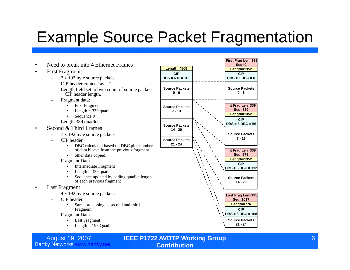## Example Source Packet Fragmentation

**CIP**

**0 - 6**

**7 - 13**

**14 - 20**

**21 - 24**

- Need to break into 4 Ethernet Frames
- First Fragment:
	- 7 x 192 byte source packets
	- CIP header copied "as is"
	- Length field set to byte count of source packets  $+$  CIP header length.
	- Fragment data:
		- First Fragment
		- Length  $=$  339 quadlets
		- Sequence 0
	- Length 339 quadlets
- Second & Third Frames
	- 7 x 192 byte source packets
	- CIP header
		- DBC calculated based on DBC plus number of data blocks from the previous fragment
		- other data copied.
	- Fragment Data
		- Intermediate Fragment
		- Length  $=$  339 quadlets
		- Sequence updated by adding quadlet length of each previous fragment
- Last Fragment
	- 4 x 192 byte source packets
	- CIP header
		- Same processing as second and third Fragment
	- Fragment Data
		- Last Fragment
		- Length  $= 195$  Quadlets



#### August 19, 2007 **IEEE P1722 AVBTP Working Group Contribution**



**First Frag Len=339**